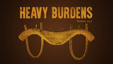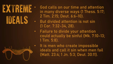

- God calls on our time and attention in many diverse ways (1 Thess. 5:17; 2 Tim. 2:15; Deut. 6:6-10).
- But divided attention is not sin (1 Cor. 7:32-34, 28).
- Failure to divide your attention could actually be sinful (Mk. 7:10-13; 1 Tim. 5:8).

It is men who create impossible ideals and call it sin when men fail (Matt. 23:4; 1 Jn. 5:3; Deut. 30:11).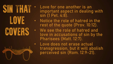

- Love for one another is an important aspect in dealing with sin (1 Pet. 4:8).
- Notice the role of hatred in the rest of the quote (Prov. 10:12).
	- We see the role of hatred and love in accusations of sin by the Pharisees (Matt. 12:7).

Love does not erase actual transgression, but it will abolish perceived sin (Rom. 12:9-21).